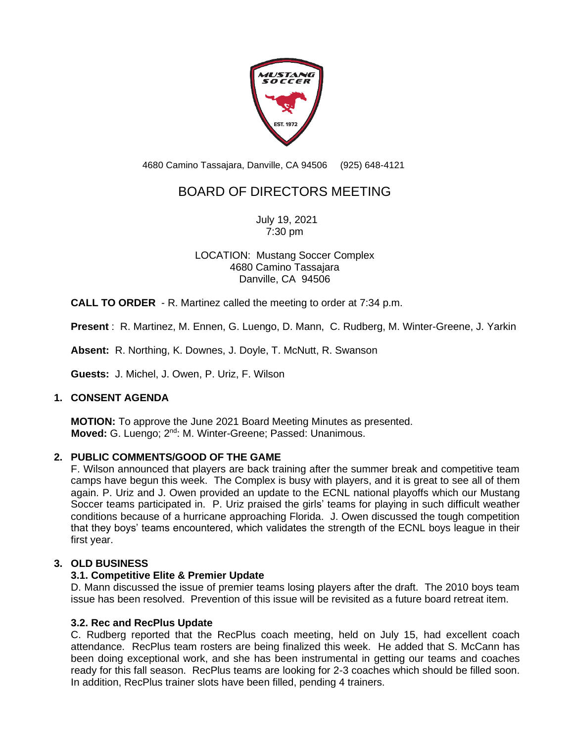

4680 Camino Tassajara, Danville, CA 94506 (925) 648-4121

# BOARD OF DIRECTORS MEETING

July 19, 2021 7:30 pm

LOCATION: Mustang Soccer Complex 4680 Camino Tassajara Danville, CA 94506

**CALL TO ORDER** - R. Martinez called the meeting to order at 7:34 p.m.

**Present** : R. Martinez, M. Ennen, G. Luengo, D. Mann, C. Rudberg, M. Winter-Greene, J. Yarkin

**Absent:** R. Northing, K. Downes, J. Doyle, T. McNutt, R. Swanson

**Guests:** J. Michel, J. Owen, P. Uriz, F. Wilson

# **1. CONSENT AGENDA**

**MOTION:** To approve the June 2021 Board Meeting Minutes as presented. **Moved:** G. Luengo; 2<sup>nd</sup>: M. Winter-Greene; Passed: Unanimous.

# **2. PUBLIC COMMENTS/GOOD OF THE GAME**

F. Wilson announced that players are back training after the summer break and competitive team camps have begun this week. The Complex is busy with players, and it is great to see all of them again. P. Uriz and J. Owen provided an update to the ECNL national playoffs which our Mustang Soccer teams participated in. P. Uriz praised the girls' teams for playing in such difficult weather conditions because of a hurricane approaching Florida. J. Owen discussed the tough competition that they boys' teams encountered, which validates the strength of the ECNL boys league in their first year.

### **3. OLD BUSINESS**

# **3.1. Competitive Elite & Premier Update**

D. Mann discussed the issue of premier teams losing players after the draft. The 2010 boys team issue has been resolved. Prevention of this issue will be revisited as a future board retreat item.

#### **3.2. Rec and RecPlus Update**

C. Rudberg reported that the RecPlus coach meeting, held on July 15, had excellent coach attendance. RecPlus team rosters are being finalized this week. He added that S. McCann has been doing exceptional work, and she has been instrumental in getting our teams and coaches ready for this fall season. RecPlus teams are looking for 2-3 coaches which should be filled soon. In addition, RecPlus trainer slots have been filled, pending 4 trainers.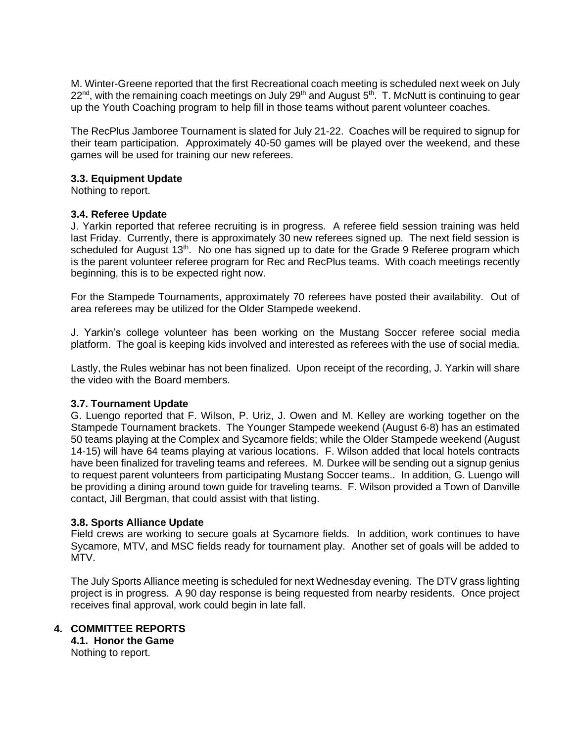M. Winter-Greene reported that the first Recreational coach meeting is scheduled next week on July 22<sup>nd</sup>, with the remaining coach meetings on July 29<sup>th</sup> and August 5<sup>th</sup>. T. McNutt is continuing to gear up the Youth Coaching program to help fill in those teams without parent volunteer coaches.

The RecPlus Jamboree Tournament is slated for July 21-22. Coaches will be required to signup for their team participation. Approximately 40-50 games will be played over the weekend, and these games will be used for training our new referees.

### **3.3. Equipment Update**

Nothing to report.

### **3.4. Referee Update**

J. Yarkin reported that referee recruiting is in progress. A referee field session training was held last Friday. Currently, there is approximately 30 new referees signed up. The next field session is scheduled for August  $13<sup>th</sup>$ . No one has signed up to date for the Grade 9 Referee program which is the parent volunteer referee program for Rec and RecPlus teams. With coach meetings recently beginning, this is to be expected right now.

For the Stampede Tournaments, approximately 70 referees have posted their availability. Out of area referees may be utilized for the Older Stampede weekend.

J. Yarkin's college volunteer has been working on the Mustang Soccer referee social media platform. The goal is keeping kids involved and interested as referees with the use of social media.

Lastly, the Rules webinar has not been finalized. Upon receipt of the recording, J. Yarkin will share the video with the Board members.

#### **3.7. Tournament Update**

G. Luengo reported that F. Wilson, P. Uriz, J. Owen and M. Kelley are working together on the Stampede Tournament brackets. The Younger Stampede weekend (August 6-8) has an estimated 50 teams playing at the Complex and Sycamore fields; while the Older Stampede weekend (August 14-15) will have 64 teams playing at various locations. F. Wilson added that local hotels contracts have been finalized for traveling teams and referees. M. Durkee will be sending out a signup genius to request parent volunteers from participating Mustang Soccer teams.. In addition, G. Luengo will be providing a dining around town guide for traveling teams. F. Wilson provided a Town of Danville contact, Jill Bergman, that could assist with that listing.

# **3.8. Sports Alliance Update**

Field crews are working to secure goals at Sycamore fields. In addition, work continues to have Sycamore, MTV, and MSC fields ready for tournament play. Another set of goals will be added to MTV.

The July Sports Alliance meeting is scheduled for next Wednesday evening. The DTV grass lighting project is in progress. A 90 day response is being requested from nearby residents. Once project receives final approval, work could begin in late fall.

# **4. COMMITTEE REPORTS**

**4.1. Honor the Game** Nothing to report.